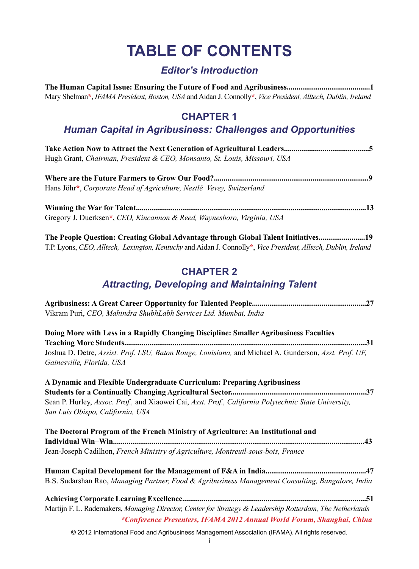# **TABLE OF CONTENTS**

## *Editor's Introduction*

| Mary Shelman*, IFAMA President, Boston, USA and Aidan J. Connolly*, Vice President, Alltech, Dublin, Ireland |
|--------------------------------------------------------------------------------------------------------------|

### **CHAPTER 1**

## *Human Capital in Agribusiness: Challenges and Opportunities*

| Hugh Grant, Chairman, President & CEO, Monsanto, St. Louis, Missouri, USA |  |
|---------------------------------------------------------------------------|--|

**Where are the Future Farmers to Grow Our Food?................................................................................9** Hans Jöhr**\***, *Corporate Head of Agriculture, Nestlé Vevey, Switzerland*

**Winning the War for Talent.......................................................................................................................13** Gregory J. Duerksen**\***, *CEO, Kincannon & Reed, Waynesboro, Virginia, USA*

**The People Question: Creating Global Advantage through Global Talent Initiatives........................19** T.P. Lyons, *CEO, Alltech, Lexington, Kentucky* and Aidan J. Connolly**\***, *Vice President, Alltech, Dublin, Ireland* 

#### **CHAPTER 2**  *Attracting, Developing and Maintaining Talent*

| Vikram Puri, CEO, Mahindra ShubhLabh Services Ltd. Mumbai, India                                                                                                                   |  |
|------------------------------------------------------------------------------------------------------------------------------------------------------------------------------------|--|
| Doing More with Less in a Rapidly Changing Discipline: Smaller Agribusiness Faculties                                                                                              |  |
|                                                                                                                                                                                    |  |
| Joshua D. Detre, Assist. Prof. LSU, Baton Rouge, Louisiana, and Michael A. Gunderson, Asst. Prof. UF,<br>Gainesville, Florida, USA                                                 |  |
| A Dynamic and Flexible Undergraduate Curriculum: Preparing Agribusiness                                                                                                            |  |
|                                                                                                                                                                                    |  |
| Sean P. Hurley, Assoc. Prof., and Xiaowei Cai, Asst. Prof., California Polytechnic State University,<br>San Luis Obispo, California, USA                                           |  |
| The Doctoral Program of the French Ministry of Agriculture: An Institutional and                                                                                                   |  |
| Jean-Joseph Cadilhon, French Ministry of Agriculture, Montreuil-sous-bois, France                                                                                                  |  |
|                                                                                                                                                                                    |  |
| B.S. Sudarshan Rao, Managing Partner, Food & Agribusiness Management Consulting, Bangalore, India                                                                                  |  |
| Martijn F. L. Rademakers, Managing Director, Center for Strategy & Leadership Rotterdam, The Netherlands<br>*Conference Presenters, IFAMA 2012 Annual World Forum, Shanghai, China |  |
|                                                                                                                                                                                    |  |

© 2012 International Food and Agribusiness Management Association (IFAMA). All rights reserved.